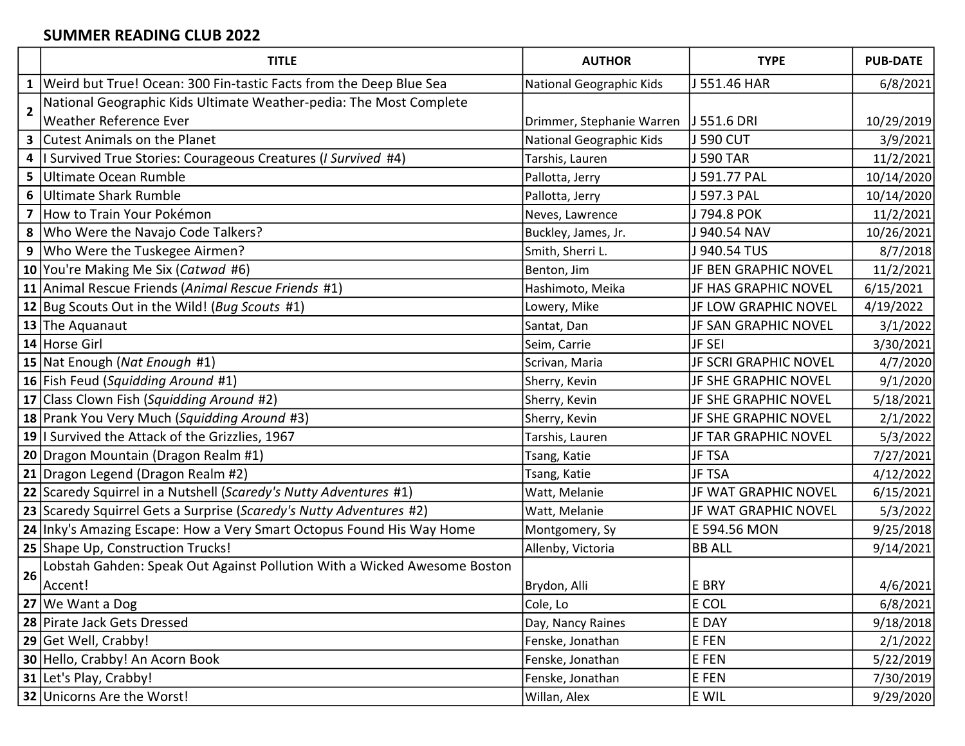## SUMMER READING CLUB 2022

|                | <b>TITLE</b>                                                             | <b>AUTHOR</b>             | <b>TYPE</b>                 | <b>PUB-DATE</b> |
|----------------|--------------------------------------------------------------------------|---------------------------|-----------------------------|-----------------|
| 1              | Weird but True! Ocean: 300 Fin-tastic Facts from the Deep Blue Sea       | National Geographic Kids  | J 551.46 HAR                | 6/8/2021        |
| $\overline{2}$ | National Geographic Kids Ultimate Weather-pedia: The Most Complete       |                           |                             |                 |
|                | <b>Weather Reference Ever</b>                                            | Drimmer, Stephanie Warren | J 551.6 DRI                 | 10/29/2019      |
|                | <b>3</b> Cutest Animals on the Planet                                    | National Geographic Kids  | J 590 CUT                   | 3/9/2021        |
|                | 4   Survived True Stories: Courageous Creatures ( <i>I Survived #4</i> ) | Tarshis, Lauren           | J 590 TAR                   | 11/2/2021       |
|                | 5 Ultimate Ocean Rumble                                                  | Pallotta, Jerry           | J 591.77 PAL                | 10/14/2020      |
|                | 6 Ultimate Shark Rumble                                                  | Pallotta, Jerry           | J 597.3 PAL                 | 10/14/2020      |
|                | 7 How to Train Your Pokémon                                              | Neves, Lawrence           | J 794.8 POK                 | 11/2/2021       |
| 8              | Who Were the Navajo Code Talkers?                                        | Buckley, James, Jr.       | J 940.54 NAV                | 10/26/2021      |
| 9              | Who Were the Tuskegee Airmen?                                            | Smith, Sherri L.          | J 940.54 TUS                | 8/7/2018        |
|                | 10 You're Making Me Six (Catwad #6)                                      | Benton, Jim               | JF BEN GRAPHIC NOVEL        | 11/2/2021       |
|                | 11 Animal Rescue Friends (Animal Rescue Friends #1)                      | Hashimoto, Meika          | JF HAS GRAPHIC NOVEL        | 6/15/2021       |
|                | 12 Bug Scouts Out in the Wild! (Bug Scouts #1)                           | Lowery, Mike              | JF LOW GRAPHIC NOVEL        | 4/19/2022       |
|                | 13 The Aquanaut                                                          | Santat, Dan               | <b>JF SAN GRAPHIC NOVEL</b> | 3/1/2022        |
|                | 14 Horse Girl                                                            | Seim, Carrie              | JF SEI                      | 3/30/2021       |
|                | 15 Nat Enough (Nat Enough #1)                                            | Scrivan, Maria            | JF SCRI GRAPHIC NOVEL       | 4/7/2020        |
|                | 16 Fish Feud (Squidding Around #1)                                       | Sherry, Kevin             | JF SHE GRAPHIC NOVEL        | 9/1/2020        |
|                | 17 Class Clown Fish (Squidding Around #2)                                | Sherry, Kevin             | JF SHE GRAPHIC NOVEL        | 5/18/2021       |
|                | 18 Prank You Very Much (Squidding Around #3)                             | Sherry, Kevin             | JF SHE GRAPHIC NOVEL        | 2/1/2022        |
|                | 19 I Survived the Attack of the Grizzlies, 1967                          | Tarshis, Lauren           | JF TAR GRAPHIC NOVEL        | 5/3/2022        |
|                | 20 Dragon Mountain (Dragon Realm #1)                                     | Tsang, Katie              | <b>JF TSA</b>               | 7/27/2021       |
|                | 21   Dragon Legend (Dragon Realm #2)                                     | Tsang, Katie              | <b>JF TSA</b>               | 4/12/2022       |
|                | 22 Scaredy Squirrel in a Nutshell (Scaredy's Nutty Adventures #1)        | Watt, Melanie             | JF WAT GRAPHIC NOVEL        | 6/15/2021       |
|                | 23 Scaredy Squirrel Gets a Surprise (Scaredy's Nutty Adventures #2)      | Watt, Melanie             | JF WAT GRAPHIC NOVEL        | 5/3/2022        |
|                | 24 Inky's Amazing Escape: How a Very Smart Octopus Found His Way Home    | Montgomery, Sy            | E 594.56 MON                | 9/25/2018       |
|                | 25 Shape Up, Construction Trucks!                                        | Allenby, Victoria         | <b>BB ALL</b>               | 9/14/2021       |
| 26             | Lobstah Gahden: Speak Out Against Pollution With a Wicked Awesome Boston |                           |                             |                 |
|                | Accent!                                                                  | Brydon, Alli              | E BRY                       | 4/6/2021        |
|                | 27 We Want a Dog                                                         | Cole, Lo                  | E COL                       | 6/8/2021        |
|                | 28 Pirate Jack Gets Dressed                                              | Day, Nancy Raines         | E DAY                       | 9/18/2018       |
|                | 29 Get Well, Crabby!                                                     | Fenske, Jonathan          | E FEN                       | 2/1/2022        |
|                | 30 Hello, Crabby! An Acorn Book                                          | Fenske, Jonathan          | E FEN                       | 5/22/2019       |
|                | 31 Let's Play, Crabby!                                                   | Fenske, Jonathan          | E FEN                       | 7/30/2019       |
|                | 32 Unicorns Are the Worst!                                               | Willan, Alex              | E WIL                       | 9/29/2020       |